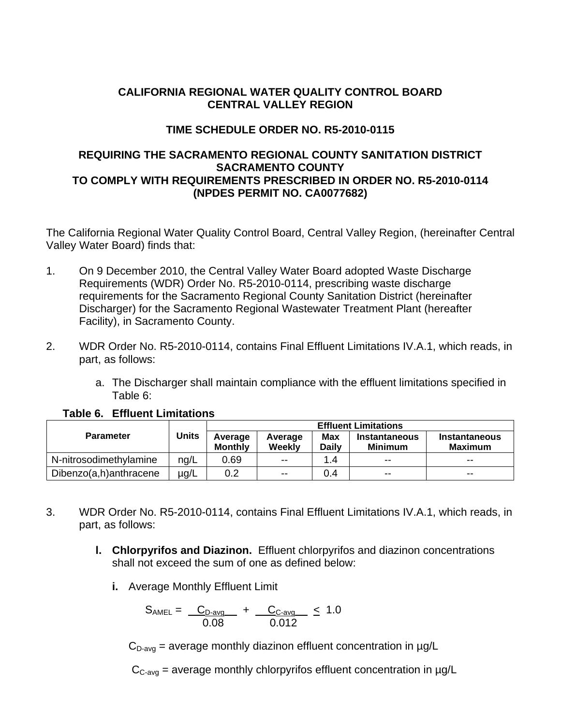# **CALIFORNIA REGIONAL WATER QUALITY CONTROL BOARD CENTRAL VALLEY REGION**

# **TIME SCHEDULE ORDER NO. R5-2010-0115**

## **REQUIRING THE SACRAMENTO REGIONAL COUNTY SANITATION DISTRICT SACRAMENTO COUNTY TO COMPLY WITH REQUIREMENTS PRESCRIBED IN ORDER NO. R5-2010-0114 (NPDES PERMIT NO. CA0077682)**

The California Regional Water Quality Control Board, Central Valley Region, (hereinafter Central Valley Water Board) finds that:

- 1. On 9 December 2010, the Central Valley Water Board adopted Waste Discharge Requirements (WDR) Order No. R5-2010-0114, prescribing waste discharge requirements for the Sacramento Regional County Sanitation District (hereinafter Discharger) for the Sacramento Regional Wastewater Treatment Plant (hereafter Facility), in Sacramento County.
- 2. WDR Order No. R5-2010-0114, contains Final Effluent Limitations IV.A.1, which reads, in part, as follows:
	- a. The Discharger shall maintain compliance with the effluent limitations specified in Table 6:

|                        |              | <b>Effluent Limitations</b> |                          |                            |                                        |                                        |
|------------------------|--------------|-----------------------------|--------------------------|----------------------------|----------------------------------------|----------------------------------------|
| <b>Parameter</b>       | <b>Units</b> | Average<br>Monthly          | Average<br>Weekly        | <b>Max</b><br><b>Daily</b> | <b>Instantaneous</b><br><b>Minimum</b> | <b>Instantaneous</b><br><b>Maximum</b> |
| N-nitrosodimethylamine | nq/L         | 0.69                        | $- -$                    | 1.4                        | $\overline{\phantom{m}}$               | $- -$                                  |
| Dibenzo(a,h)anthracene | ug/L         | 0.2                         | $\overline{\phantom{a}}$ | 0.4                        | $- -$                                  | $- -$                                  |

### **Table 6. Effluent Limitations**

- 3. WDR Order No. R5-2010-0114, contains Final Effluent Limitations IV.A.1, which reads, in part, as follows:
	- **l. Chlorpyrifos and Diazinon.** Effluent chlorpyrifos and diazinon concentrations shall not exceed the sum of one as defined below:
		- **i.** Average Monthly Effluent Limit

$$
S_{\text{AMEL}} = \frac{C_{D\text{-avg}}}{0.08} + \frac{C_{C\text{-avg}}}{0.012} \leq 1.0
$$

 $C_{D\text{-avg}}$  = average monthly diazinon effluent concentration in  $\mu$ g/L

 $C_{C\text{-}ava}$  = average monthly chlorpyrifos effluent concentration in  $\mu$ g/L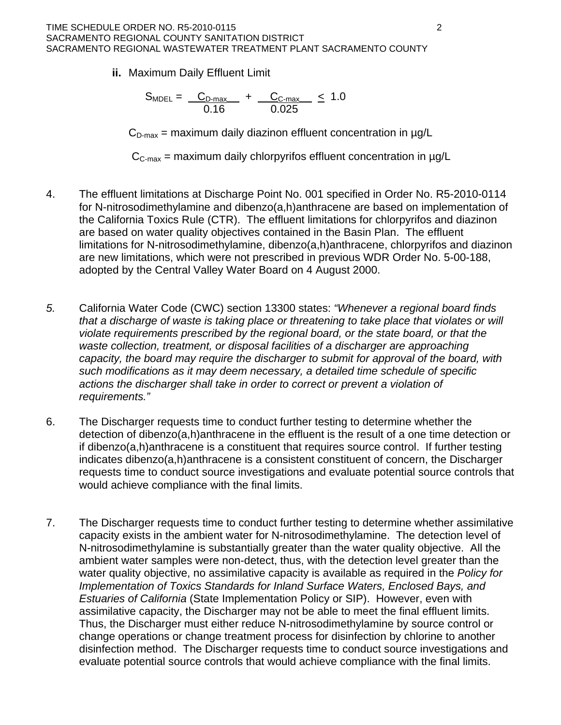**ii.** Maximum Daily Effluent Limit

$$
S_{\text{MDEL}} = \frac{C_{\text{D-max}}}{0.16} + \frac{C_{\text{C-max}}}{0.025} \leq 1.0
$$

 $C_{D\text{-max}}$  = maximum daily diazinon effluent concentration in  $\mu q/L$ 

 $C_{C\text{-max}}$  = maximum daily chlorpyrifos effluent concentration in  $\mu$ g/L

- 4. The effluent limitations at Discharge Point No. 001 specified in Order No. R5-2010-0114 for N-nitrosodimethylamine and dibenzo(a,h)anthracene are based on implementation of limitations for N-nitrosodimethylamine, dibenzo(a,h)anthracene, chlorpyrifos and diazinon are new limitations, which were not prescribed in previous WDR Order No. 5-00-188, the California Toxics Rule (CTR). The effluent limitations for chlorpyrifos and diazinon are based on water quality objectives contained in the Basin Plan. The effluent adopted by the Central Valley Water Board on 4 August 2000.
- *.* California Water Code (CWC) section 13300 states: *"Whenever a regional board finds that a discharge of waste is taking place or threatening to take place that violates or will*  capacity, the board may require the discharger to submit for approval of the board, with *5 violate requirements prescribed by the regional board, or the state board, or that the*  waste collection, treatment, or disposal facilities of a discharger are approaching *such modifications as it may deem necessary, a detailed time schedule of specific actions the discharger shall take in order to correct or prevent a violation of requirements."*
- 6. The Discharger requests time to conduct further testing to determine whether the detection of dibenzo(a,h)anthracene in the effluent is the result of a one time detection or if dibenzo(a,h)anthracene is a constituent that requires source control. If further testing requests time to conduct source investigations and evaluate potential source controls that indicates dibenzo(a,h)anthracene is a consistent constituent of concern, the Discharger would achieve compliance with the final limits.
- . The Discharger requests time to conduct further testing to determine whether assimilative capacity exists in the ambient water for N-nitrosodimethylamine. The detection level of Thus, the Discharger must either reduce N-nitrosodimethylamine by source control or disinfection method. The Discharger requests time to conduct source investigations and evaluate potential source controls that would achieve compliance with the final limits. 7 N-nitrosodimethylamine is substantially greater than the water quality objective. All the ambient water samples were non-detect, thus, with the detection level greater than the water quality objective, no assimilative capacity is available as required in the *Policy for Implementation of Toxics Standards for Inland Surface Waters, Enclosed Bays, and Estuaries of California* (State Implementation Policy or SIP). However, even with assimilative capacity, the Discharger may not be able to meet the final effluent limits. change operations or change treatment process for disinfection by chlorine to another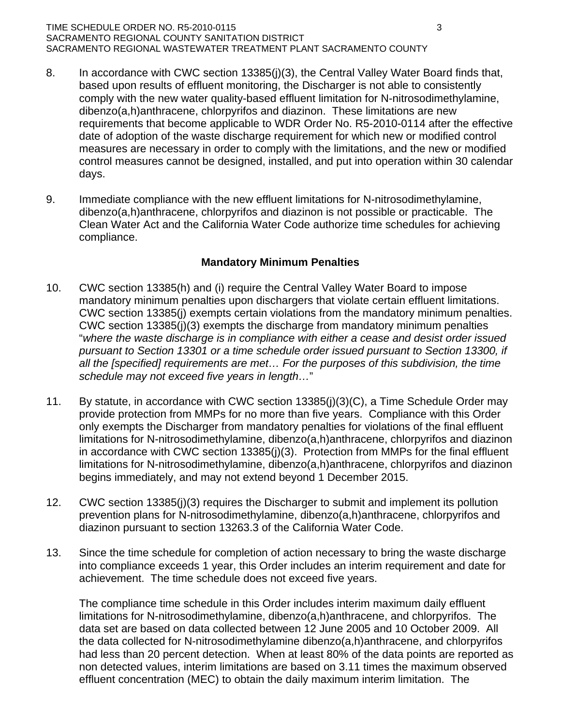#### TIME SCHEDULE ORDER NO. R5-2010-0115 3 SACRAMENTO REGIONAL COUNTY SANITATION DISTRICT SACRAMENTO REGIONAL WASTEWATER TREATMENT PLANT SACRAMENTO COUNTY

- 8. In accordance with CWC section 13385(j)(3), the Central Valley Water Board finds that, comply with the new water quality-based effluent limitation for N-nitrosodimethylamine, dibenzo(a,h)anthracene, chlorpyrifos and diazinon. These limitations are new date of adoption of the waste discharge requirement for which new or modified control control measures cannot be designed, installed, and put into operation within 30 calendar based upon results of effluent monitoring, the Discharger is not able to consistently requirements that become applicable to WDR Order No. R5-2010-0114 after the effective measures are necessary in order to comply with the limitations, and the new or modified days.
- Clean Water Act and the California Water Code authorize time schedules for achieving compliance. 9. Immediate compliance with the new effluent limitations for N-nitrosodimethylamine, dibenzo(a,h)anthracene, chlorpyrifos and diazinon is not possible or practicable. The

### **Mandatory Minimum Penalties**

- 10. CWC section 13385(h) and (i) require the Central Valley Water Board to impose mandatory minimum penalties upon dischargers that violate certain effluent limitations. CWC section 13385(j) exempts certain violations from the mandatory minimum penalties. CWC section  $13385(j)(3)$  exempts the discharge from mandatory minimum penalties "where the waste discharge is in compliance with either a cease and desist order issued *pursuant to Section 13301 or a time schedule order issued pursuant to Section 13300, if all the [specified] requirements are met… For the purposes of this subdivision, the time schedule may not exceed five years in length…*"
- only exempts the Discharger from mandatory penalties for violations of the final effluent limitations for N-nitrosodimethylamine, dibenzo(a,h)anthracene, chlorpyrifos and diazinon limitations for N-nitrosodimethylamine, dibenzo(a,h)anthracene, chlorpyrifos and diazinon 11. By statute, in accordance with CWC section 13385(j)(3)(C), a Time Schedule Order may provide protection from MMPs for no more than five years. Compliance with this Order in accordance with CWC section 13385(j)(3). Protection from MMPs for the final effluent begins immediately, and may not extend beyond 1 December 2015.
- 12. CWC section 13385(j)(3) requires the Discharger to submit and implement its pollution prevention plans for N-nitrosodimethylamine, dibenzo(a,h)anthracene, chlorpyrifos and diazinon pursuant to section 13263.3 of the California Water Code.
- 13. Since the time schedule for completion of action necessary to bring the waste discharge into compliance exceeds 1 year, this Order includes an interim requirement and date for achievement. The time schedule does not exceed five years.

data set are based on data collected between 12 June 2005 and 10 October 2009. All the data collected for N-nitrosodimethylamine dibenzo(a,h)anthracene, and chlorpyrifos had less than 20 percent detection. When at least 80% of the data points are reported as non detected values, interim limitations are based on 3.11 times the maximum observed effluent concentration (MEC) to obtain the daily maximum interim limitation. The The compliance time schedule in this Order includes interim maximum daily effluent limitations for N-nitrosodimethylamine, dibenzo(a,h)anthracene, and chlorpyrifos. The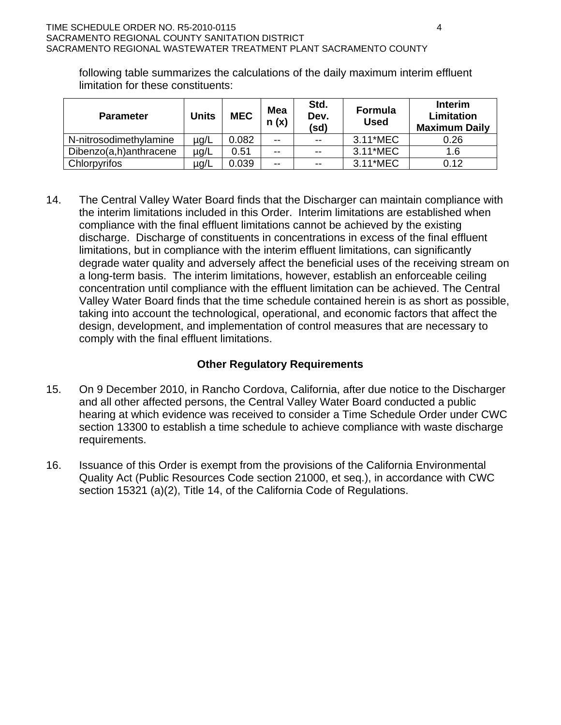following table summarizes the calculations of the daily maximum interim effluent limitation for these constituents:

| <b>Parameter</b>       | <b>Units</b> | <b>MEC</b> | <b>Mea</b><br>n(x)       | Std.<br>Dev.<br>(sd) | <b>Formula</b><br><b>Used</b> | <b>Interim</b><br>Limitation<br><b>Maximum Daily</b> |
|------------------------|--------------|------------|--------------------------|----------------------|-------------------------------|------------------------------------------------------|
| N-nitrosodimethylamine | µg/L         | 0.082      | $- -$                    | $- -$                | 3.11*MEC                      | 0.26                                                 |
| Dibenzo(a,h)anthracene | µg/L         | 0.51       | $- -$                    | $- -$                | 3.11*MEC                      | 1.6                                                  |
| Chlorpyrifos           | µg/L         | 0.039      | $\overline{\phantom{m}}$ | $- -$                | 3.11*MEC                      | 0.12                                                 |

14. The Central Valley Water Board finds that the Discharger can maintain compliance with the interim limitations included in this Order. Interim limitations are established when compliance with the final effluent limitations cannot be achieved by the existing discharge. Discharge of constituents in concentrations in excess of the final effluent limitations, but in compliance with the interim effluent limitations, can significantly degrade water quality and adversely affect the beneficial uses of the receiving stream on a long-term basis. The interim limitations, however, establish an enforceable ceiling concentration until compliance with the effluent limitation can be achieved. The Central Valley Water Board finds that the time schedule contained herein is as short as possible, taking into account the technological, operational, and economic factors that affect the design, development, and implementation of control measures that are necessary to comply with the final effluent limitations.

## **Other Regulatory Requirements**

- $15.$ On 9 December 2010, in Rancho Cordova, California, after due notice to the Discharger and all other affected persons, the Central Valley Water Board conducted a public hearing at which evidence was received to consider a Time Schedule Order under CWC section 13300 to establish a time schedule to achieve compliance with waste discharge requirements.
- Issuance of this Order is exempt from the provisions of the California Environmental  $16.$ Quality Act (Public Resources Code section 21000, et seq.), in accordance with CWC section 15321 (a)(2), Title 14, of the California Code of Regulations.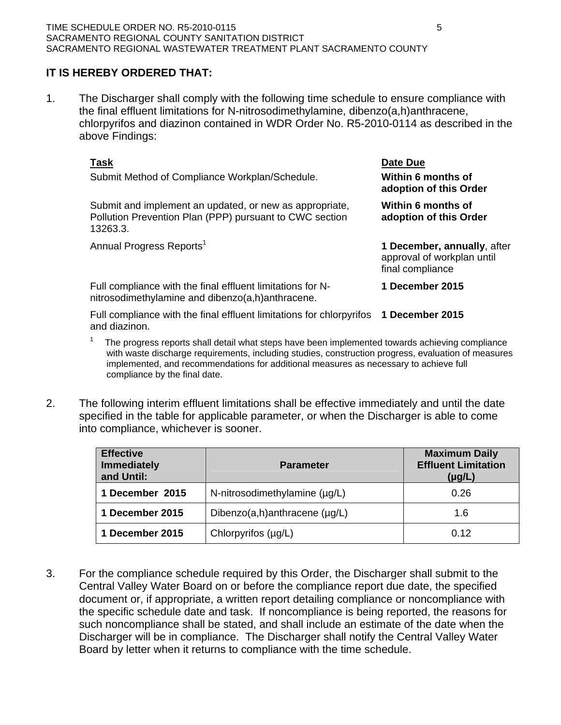# **IT IS HEREBY ORDERED THAT:**

1. The Discharger shall comply with the following time schedule to ensure compliance with the final effluent limitations for N-nitrosodimethylamine, dibenzo(a,h)anthracene, chlorpyrifos and diazinon contained in WDR Order No. R5-2010-0114 as described in the above Findings:

| Task<br>Submit Method of Compliance Workplan/Schedule.                                                                         | Date Due<br>Within 6 months of<br>adoption of this Order                      |
|--------------------------------------------------------------------------------------------------------------------------------|-------------------------------------------------------------------------------|
| Submit and implement an updated, or new as appropriate,<br>Pollution Prevention Plan (PPP) pursuant to CWC section<br>13263.3. | Within 6 months of<br>adoption of this Order                                  |
| Annual Progress Reports <sup>1</sup>                                                                                           | 1 December, annually, after<br>approval of workplan until<br>final compliance |
| Full compliance with the final effluent limitations for N-<br>nitrosodimethylamine and dibenzo(a,h)anthracene.                 | 1 December 2015                                                               |
| Full compliance with the final effluent limitations for chlorpyrifos<br>and diazinon.                                          | 1 December 2015                                                               |

- 1 The progress reports shall detail what steps have been implemented towards achieving compliance with waste discharge requirements, including studies, construction progress, evaluation of measures implemented, and recommendations for additional measures as necessary to achieve full compliance by the final date.
- 2. The following interim effluent limitations shall be effective immediately and until the date specified in the table for applicable parameter, or when the Discharger is able to come into compliance, whichever is sooner.

| <b>Effective</b><br><b>Immediately</b><br>and Until: | <b>Parameter</b>                   | <b>Maximum Daily</b><br><b>Effluent Limitation</b><br>$(\mu g/L)$ |
|------------------------------------------------------|------------------------------------|-------------------------------------------------------------------|
| 1 December 2015                                      | N-nitrosodimethylamine (µg/L)      | 0.26                                                              |
| 1 December 2015                                      | Dibenzo(a,h)anthracene $(\mu g/L)$ | 1.6                                                               |
| 1 December 2015                                      | Chlorpyrifos (µg/L)                | 0.12                                                              |

3. For the compliance schedule required by this Order, the Discharger shall submit to the Central Valley Water Board on or before the compliance report due date, the specified document or, if appropriate, a written report detailing compliance or noncompliance with the specific schedule date and task. If noncompliance is being reported, the reasons for such noncompliance shall be stated, and shall include an estimate of the date when the Discharger will be in compliance. The Discharger shall notify the Central Valley Water Board by letter when it returns to compliance with the time schedule.